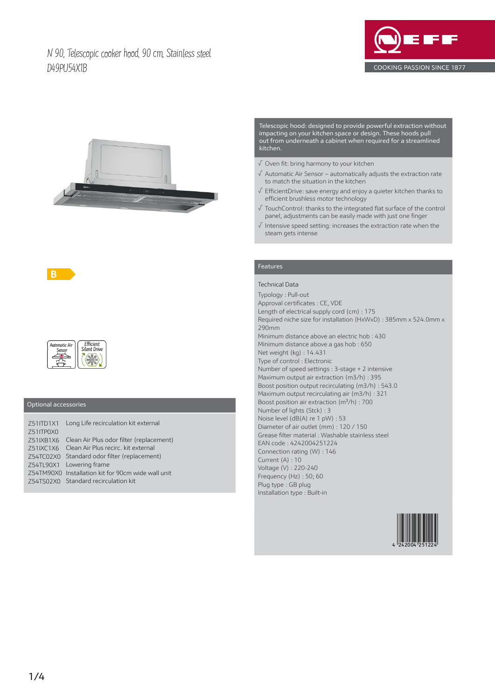# N 90, Telescopic cooker hood, 90 cm, Stainless steel D49PU54X1B





Telescopic hood: designed to provide powerful extraction without impacting on your kitchen space or design. These hoods pull out from underneath a cabinet when required for a streamlined kitchen.

- √ Oven fit: bring harmony to your kitchen
- √ Automatic Air Sensor automatically adjusts the extraction rate to match the situation in the kitchen
- √ EfficientDrive: save energy and enjoy a quieter kitchen thanks to efficient brushless motor technology
- √ TouchControl: thanks to the integrated flat surface of the control panel, adjustments can be easily made with just one finger
- √ Intensive speed setting: increases the extraction rate when the steam gets intense

## Features

### Technical Data

Typology : Pull-out Approval certificates : CE, VDE Length of electrical supply cord (cm) : 175 Required niche size for installation (HxWxD) : 385mm x 524.0mm x 290mm Minimum distance above an electric hob : 430 Minimum distance above a gas hob : 650 Net weight (kg) : 14.431 Type of control : Electronic Number of speed settings : 3-stage + 2 intensive Maximum output air extraction (m3/h) : 395 Boost position output recirculating (m3/h) : 543.0 Maximum output recirculating air (m3/h) : 321 Boost position air extraction (m<sup>3</sup>/h) : 700 Number of lights (Stck) : 3 Noise level (dB(A) re 1 pW) : 53 Diameter of air outlet (mm) : 120 / 150 Grease filter material : Washable stainless steel EAN code : 4242004251224 Connection rating (W) : 146 Current (A) : 10 Voltage (V) : 220-240 Frequency (Hz) : 50; 60 Plug type : GB plug Installation type : Built-in





**ASSES** 

# Optional accessories

 $\frac{2}{\sqrt{2}}$ 

B

Z51ITD1X1 Long Life recirculation kit external Z51ITP0X0 Z51IXB1X6 Clean Air Plus odor filter (replacement) Z51IXC1X6 Clean Air Plus recirc. kit external Z54TC02X0 Standard odor filter (replacement) Z54TL90X1 Lowering frame Z54TM90X0 Installation kit for 90cm wide wall unit Z54TS02X0 Standard recirculation kit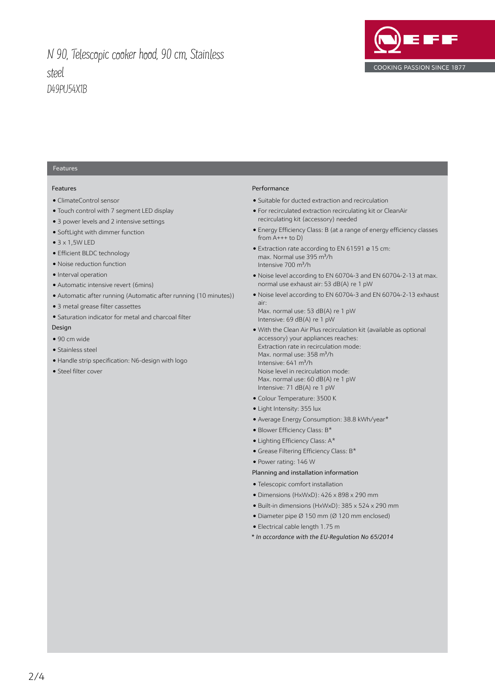# N 90, Telescopic cooker hood, 90 cm, Stainless steel D49PU54X1B



### Features

### Features

- ClimateControl sensor
- Touch control with 7 segment LED display
- 3 power levels and 2 intensive settings
- SoftLight with dimmer function
- $\bullet$  3 x 1,5W LED
- Efficient BLDC technology
- Noise reduction function
- Interval operation
- Automatic intensive revert (6mins)
- Automatic after running (Automatic after running (10 minutes))
- 3 metal grease filter cassettes
- Saturation indicator for metal and charcoal filter Design
- 90 cm wide
- Stainless steel
- Handle strip specification: N6-design with logo
- Steel filter cover

### Performance

- Suitable for ducted extraction and recirculation
- For recirculated extraction recirculating kit or CleanAir recirculating kit (accessory) needed
- Energy Efficiency Class: B (at a range of energy efficiency classes from A+++ to D)
- Extraction rate according to EN 61591 ø 15 cm: max. Normal use 395 m<sup>3</sup>/h Intensive  $700 \text{ m}^3/h$
- Noise level according to EN 60704-3 and EN 60704-2-13 at max. normal use exhaust air: 53 dB(A) re 1 pW
- Noise level according to EN 60704-3 and EN 60704-2-13 exhaust air:

Max. normal use: 53 dB(A) re 1 pW Intensive: 69 dB(A) re 1 pW

- With the Clean Air Plus recirculation kit (available as optional accessory) your appliances reaches: Extraction rate in recirculation mode: Max. normal use: 358 m<sup>3</sup>/h Intensive:  $641 \text{ m}^3\text{/h}$ Noise level in recirculation mode: Max. normal use: 60 dB(A) re 1 pW Intensive: 71 dB(A) re 1 pW
- Colour Temperature: 3500 K
- Light Intensity: 355 lux
- Average Energy Consumption: 38.8 kWh/year\*
- $\bullet$  Blower Efficiency Class: B\*
- $\bullet$  Lighting Efficiency Class: A\*
	- $\bullet$  Grease Filtering Efficiency Class: B\*
- Power rating: 146 W

#### Planning and installation information

- Telescopic comfort installation
- Dimensions (HxWxD): 426 x 898 x 290 mm
- Built-in dimensions (HxWxD): 385 x 524 x 290 mm
- Diameter pipe Ø 150 mm (Ø 120 mm enclosed)
- Electrical cable length 1.75 m
- *\* In accordance with the EU-Regulation No 65/2014*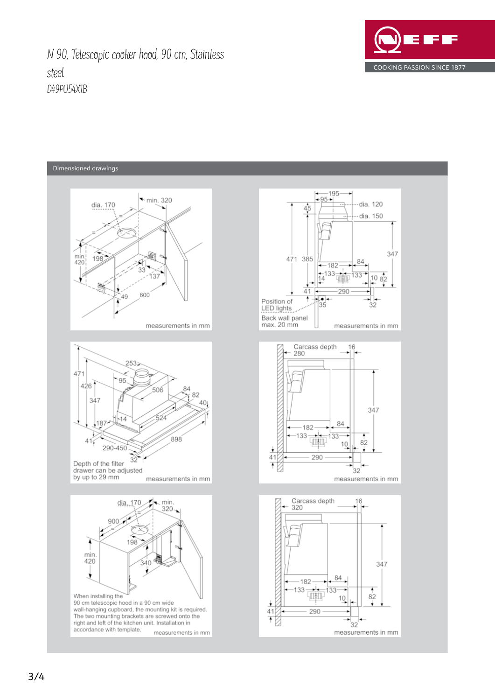N 90, Telescopic cooker hood, 90 cm, Stainless steel D49PU54X1B